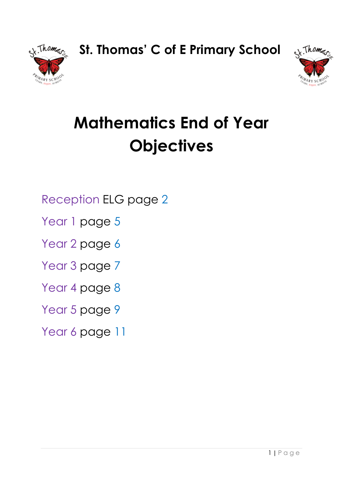**St. Thomas' C of E Primary School**





# **Mathematics End of Year Objectives**

Reception ELG page 2

Year 1 page 5

Year 2 page 6

Year 3 page 7

Year 4 page 8

Year 5 page 9

Year 6 page 11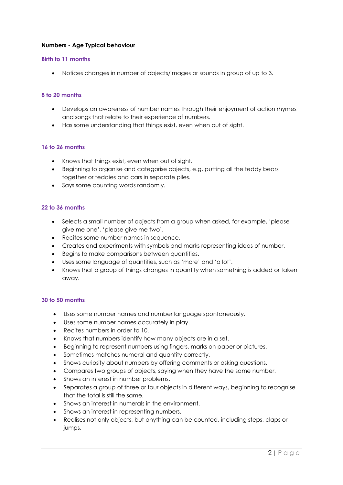## **Numbers - Age Typical behaviour**

#### **Birth to 11 months**

Notices changes in number of objects/images or sounds in group of up to 3.

#### **8 to 20 months**

- Develops an awareness of number names through their enjoyment of action rhymes and songs that relate to their experience of numbers.
- Has some understanding that things exist, even when out of sight.

#### **16 to 26 months**

- Knows that things exist, even when out of sight.
- Beginning to organise and categorise objects, e.g. putting all the teddy bears together or teddies and cars in separate piles.
- Says some counting words randomly.

#### **22 to 36 months**

- Selects a small number of objects from a group when asked, for example, 'please give me one', 'please give me two'.
- Recites some number names in sequence.
- Creates and experiments with symbols and marks representing ideas of number.
- Begins to make comparisons between quantities.
- Uses some language of quantities, such as 'more' and 'a lot'.
- Knows that a group of things changes in quantity when something is added or taken away.

#### **30 to 50 months**

- Uses some number names and number language spontaneously.
- Uses some number names accurately in play.
- Recites numbers in order to 10.
- Knows that numbers identify how many objects are in a set.
- Beginning to represent numbers using fingers, marks on paper or pictures.
- Sometimes matches numeral and quantity correctly.
- Shows curiosity about numbers by offering comments or asking questions.
- Compares two groups of objects, saying when they have the same number.
- Shows an interest in number problems.
- Separates a group of three or four objects in different ways, beginning to recognise that the total is still the same.
- Shows an interest in numerals in the environment.
- Shows an interest in representing numbers.
- Realises not only objects, but anything can be counted, including steps, claps or jumps.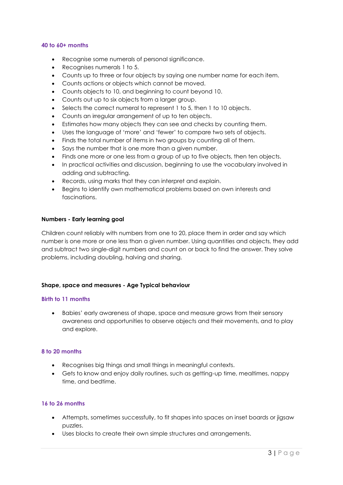#### **40 to 60+ months**

- Recognise some numerals of personal significance.
- Recognises numerals 1 to 5.
- Counts up to three or four objects by saying one number name for each item.
- Counts actions or objects which cannot be moved.
- Counts objects to 10, and beginning to count beyond 10.
- Counts out up to six objects from a larger group.
- Selects the correct numeral to represent 1 to 5, then 1 to 10 objects.
- Counts an irregular arrangement of up to ten objects.
- Estimates how many objects they can see and checks by counting them.
- Uses the language of 'more' and 'fewer' to compare two sets of objects.
- Finds the total number of items in two groups by counting all of them.
- Says the number that is one more than a given number.
- Finds one more or one less from a group of up to five objects, then ten objects.
- In practical activities and discussion, beginning to use the vocabulary involved in adding and subtracting.
- Records, using marks that they can interpret and explain.
- Begins to identify own mathematical problems based on own interests and fascinations.

#### **Numbers - Early learning goal**

Children count reliably with numbers from one to 20, place them in order and say which number is one more or one less than a given number. Using quantities and objects, they add and subtract two single-digit numbers and count on or back to find the answer. They solve problems, including doubling, halving and sharing.

#### **Shape, space and measures - Age Typical behaviour**

#### **Birth to 11 months**

 Babies' early awareness of shape, space and measure grows from their sensory awareness and opportunities to observe objects and their movements, and to play and explore.

#### **8 to 20 months**

- Recognises big things and small things in meaningful contexts.
- Gets to know and enjoy daily routines, such as getting-up time, mealtimes, nappy time, and bedtime.

#### **16 to 26 months**

- Attempts, sometimes successfully, to fit shapes into spaces on inset boards or jigsaw puzzles.
- Uses blocks to create their own simple structures and arrangements.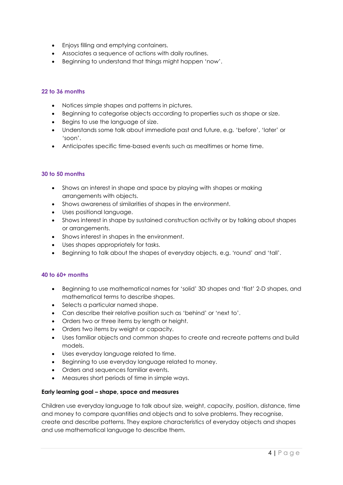- Enjoys filling and emptying containers.
- Associates a sequence of actions with daily routines.
- Beginning to understand that things might happen 'now'.

### **22 to 36 months**

- Notices simple shapes and patterns in pictures.
- Beginning to categorise objects according to properties such as shape or size.
- Begins to use the language of size.
- Understands some talk about immediate past and future, e.g. 'before', 'later' or 'soon'.
- Anticipates specific time-based events such as mealtimes or home time.

#### **30 to 50 months**

- Shows an interest in shape and space by playing with shapes or making arrangements with objects.
- Shows awareness of similarities of shapes in the environment.
- Uses positional language.
- Shows interest in shape by sustained construction activity or by talking about shapes or arrangements.
- Shows interest in shapes in the environment.
- Uses shapes appropriately for tasks.
- Beginning to talk about the shapes of everyday objects, e.g. 'round' and 'tall'.

#### **40 to 60+ months**

- Beginning to use mathematical names for 'solid' 3D shapes and 'flat' 2-D shapes, and mathematical terms to describe shapes.
- Selects a particular named shape.
- Can describe their relative position such as 'behind' or 'next to'.
- Orders two or three items by length or height.
- Orders two items by weight or capacity.
- Uses familiar objects and common shapes to create and recreate patterns and build models.
- Uses everyday language related to time.
- Beginning to use everyday language related to money.
- Orders and sequences familiar events.
- Measures short periods of time in simple ways.

#### **Early learning goal – shape, space and measures**

Children use everyday language to talk about size, weight, capacity, position, distance, time and money to compare quantities and objects and to solve problems. They recognise, create and describe patterns. They explore characteristics of everyday objects and shapes and use mathematical language to describe them.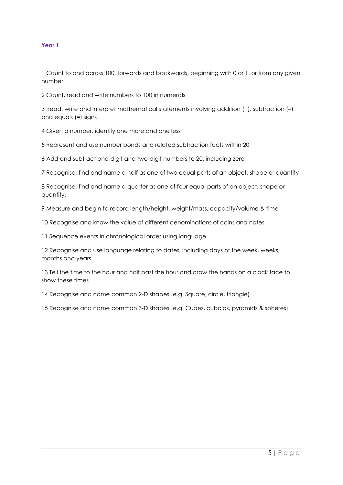1 Count to and across 100, forwards and backwards, beginning with 0 or 1, or from any given number

2 Count, read and write numbers to 100 in numerals

3 Read, write and interpret mathematical statements involving addition (+), subtraction (–) and equals (=) signs

4 Given a number, identify one more and one less

5 Represent and use number bonds and related subtraction facts within 20

6 Add and subtract one-digit and two-digit numbers to 20, including zero

7 Recognise, find and name a half as one of two equal parts of an object, shape or quantity

8 Recognise, find and name a quarter as one of four equal parts of an object, shape or quantity.

9 Measure and begin to record length/height, weight/mass, capacity/volume & time

10 Recognise and know the value of different denominations of coins and notes

11 Sequence events in chronological order using language

12 Recognise and use language relating to dates, including days of the week, weeks, months and years

13 Tell the time to the hour and half past the hour and draw the hands on a clock face to show these times

14 Recognise and name common 2-D shapes (e.g. Square, circle, triangle)

15 Recognise and name common 3-D shapes (e.g. Cubes, cuboids, pyramids & spheres)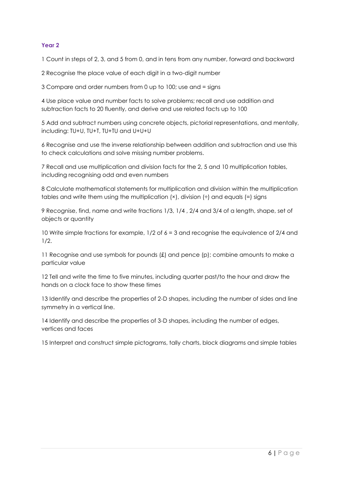1 Count in steps of 2, 3, and 5 from 0, and in tens from any number, forward and backward

2 Recognise the place value of each digit in a two-digit number

3 Compare and order numbers from 0 up to 100; use and = signs

4 Use place value and number facts to solve problems; recall and use addition and subtraction facts to 20 fluently, and derive and use related facts up to 100

5 Add and subtract numbers using concrete objects, pictorial representations, and mentally, including: TU+U, TU+T, TU+TU and U+U+U

6 Recognise and use the inverse relationship between addition and subtraction and use this to check calculations and solve missing number problems.

7 Recall and use multiplication and division facts for the 2, 5 and 10 multiplication tables, including recognising odd and even numbers

8 Calculate mathematical statements for multiplication and division within the multiplication tables and write them using the multiplication  $(x)$ , division  $\left(\frac{1}{x}\right)$  and equals  $\left(\frac{1}{x}\right)$  signs

9 Recognise, find, name and write fractions 1/3, 1/4 , 2/4 and 3/4 of a length, shape, set of objects or quantity

10 Write simple fractions for example, 1/2 of 6 = 3 and recognise the equivalence of 2/4 and 1/2.

11 Recognise and use symbols for pounds (£) and pence (p); combine amounts to make a particular value

12 Tell and write the time to five minutes, including quarter past/to the hour and draw the hands on a clock face to show these times

13 Identify and describe the properties of 2-D shapes, including the number of sides and line symmetry in a vertical line.

14 Identify and describe the properties of 3-D shapes, including the number of edges, vertices and faces

15 Interpret and construct simple pictograms, tally charts, block diagrams and simple tables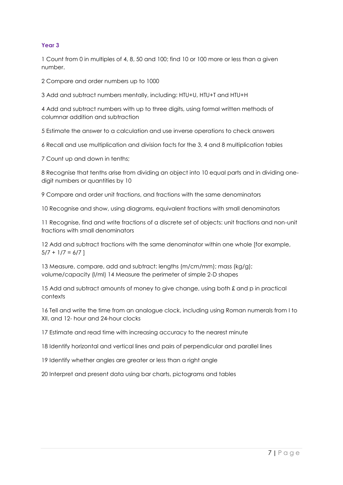1 Count from 0 in multiples of 4, 8, 50 and 100; find 10 or 100 more or less than a given number.

2 Compare and order numbers up to 1000

3 Add and subtract numbers mentally, including: HTU+U, HTU+T and HTU+H

4 Add and subtract numbers with up to three digits, using formal written methods of columnar addition and subtraction

5 Estimate the answer to a calculation and use inverse operations to check answers

6 Recall and use multiplication and division facts for the 3, 4 and 8 multiplication tables

7 Count up and down in tenths;

8 Recognise that tenths arise from dividing an object into 10 equal parts and in dividing onedigit numbers or quantities by 10

9 Compare and order unit fractions, and fractions with the same denominators

10 Recognise and show, using diagrams, equivalent fractions with small denominators

11 Recognise, find and write fractions of a discrete set of objects: unit fractions and non-unit fractions with small denominators

12 Add and subtract fractions with the same denominator within one whole [for example,  $5/7 + 1/7 = 6/7$ ]

13 Measure, compare, add and subtract: lengths (m/cm/mm); mass (kg/g); volume/capacity (l/ml) 14 Measure the perimeter of simple 2-D shapes

15 Add and subtract amounts of money to give change, using both £ and p in practical contexts

16 Tell and write the time from an analogue clock, including using Roman numerals from I to XII, and 12- hour and 24-hour clocks

17 Estimate and read time with increasing accuracy to the nearest minute

18 Identify horizontal and vertical lines and pairs of perpendicular and parallel lines

19 Identify whether angles are greater or less than a right angle

20 Interpret and present data using bar charts, pictograms and tables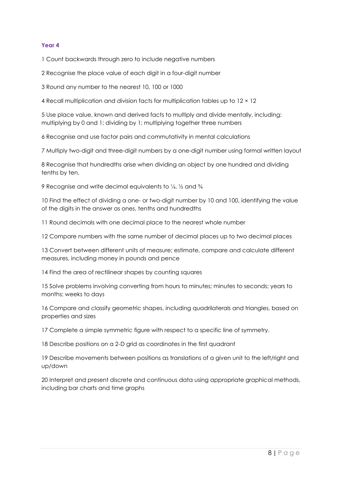1 Count backwards through zero to include negative numbers

2 Recognise the place value of each digit in a four-digit number

3 Round any number to the nearest 10, 100 or 1000

4 Recall multiplication and division facts for multiplication tables up to 12 × 12

5 Use place value, known and derived facts to multiply and divide mentally, including: multiplying by 0 and 1; dividing by 1; multiplying together three numbers

6 Recognise and use factor pairs and commutativity in mental calculations

7 Multiply two-digit and three-digit numbers by a one-digit number using formal written layout

8 Recognise that hundredths arise when dividing an object by one hundred and dividing tenths by ten.

9 Recognise and write decimal equivalents to 1/4, 1/2 and 3/4

10 Find the effect of dividing a one- or two-digit number by 10 and 100, identifying the value of the digits in the answer as ones, tenths and hundredths

11 Round decimals with one decimal place to the nearest whole number

12 Compare numbers with the same number of decimal places up to two decimal places

13 Convert between different units of measure; estimate, compare and calculate different measures, including money in pounds and pence

14 Find the area of rectilinear shapes by counting squares

15 Solve problems involving converting from hours to minutes; minutes to seconds; years to months; weeks to days

16 Compare and classify geometric shapes, including quadrilaterals and triangles, based on properties and sizes

17 Complete a simple symmetric figure with respect to a specific line of symmetry.

18 Describe positions on a 2-D grid as coordinates in the first quadrant

19 Describe movements between positions as translations of a given unit to the left/right and up/down

20 Interpret and present discrete and continuous data using appropriate graphical methods, including bar charts and time graphs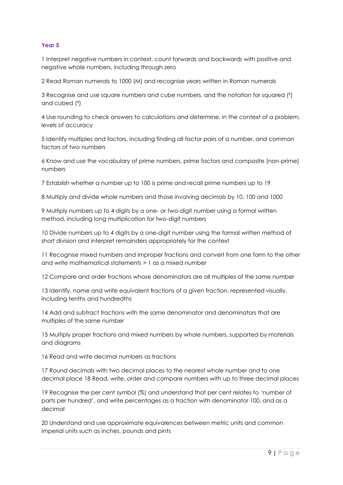1 Interpret negative numbers in context, count forwards and backwards with positive and negative whole numbers, including through zero

2 Read Roman numerals to 1000 (M) and recognise years written in Roman numerals

3 Recognise and use square numbers and cube numbers, and the notation for squared (²) and cubed  $(3)$ 

4 Use rounding to check answers to calculations and determine, in the context of a problem, levels of accuracy

5 Identify multiples and factors, including finding all factor pairs of a number, and common factors of two numbers

6 Know and use the vocabulary of prime numbers, prime factors and composite (non-prime) numbers

7 Establish whether a number up to 100 is prime and recall prime numbers up to 19

8 Multiply and divide whole numbers and those involving decimals by 10, 100 and 1000

9 Multiply numbers up to 4 digits by a one- or two-digit number using a formal written method, including long multiplication for two-digit numbers

10 Divide numbers up to 4 digits by a one-digit number using the formal written method of short division and interpret remainders appropriately for the context

11 Recognise mixed numbers and improper fractions and convert from one form to the other and write mathematical statements > 1 as a mixed number

12 Compare and order fractions whose denominators are all multiples of the same number

13 Identify, name and write equivalent fractions of a given fraction, represented visually, including tenths and hundredths

14 Add and subtract fractions with the same denominator and denominators that are multiples of the same number

15 Multiply proper fractions and mixed numbers by whole numbers, supported by materials and diagrams

16 Read and write decimal numbers as fractions

17 Round decimals with two decimal places to the nearest whole number and to one decimal place 18 Read, write, order and compare numbers with up to three decimal places

19 Recognise the per cent symbol (%) and understand that per cent relates to 'number of parts per hundred', and write percentages as a fraction with denominator 100, and as a decimal

20 Understand and use approximate equivalences between metric units and common imperial units such as inches, pounds and pints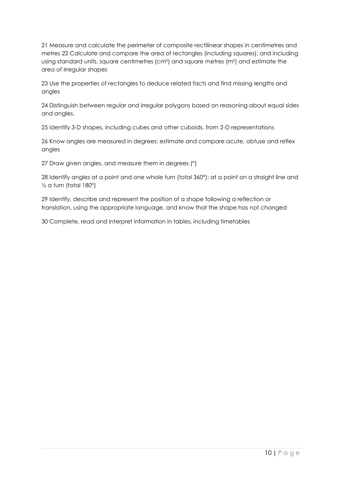21 Measure and calculate the perimeter of composite rectilinear shapes in centimetres and metres 22 Calculate and compare the area of rectangles (including squares), and including using standard units, square centimetres (cm²) and square metres (m²) and estimate the area of irregular shapes

23 Use the properties of rectangles to deduce related facts and find missing lengths and angles

24 Distinguish between regular and irregular polygons based on reasoning about equal sides and angles.

25 Identify 3-D shapes, including cubes and other cuboids, from 2-D representations

26 Know angles are measured in degrees: estimate and compare acute, obtuse and reflex angles

27 Draw given angles, and measure them in degrees (°)

28 Identify angles at a point and one whole turn (total 360°); at a point on a straight line and  $\frac{1}{2}$  a turn (total 180°)

29 Identify, describe and represent the position of a shape following a reflection or translation, using the appropriate language, and know that the shape has not changed

30 Complete, read and interpret information in tables, including timetables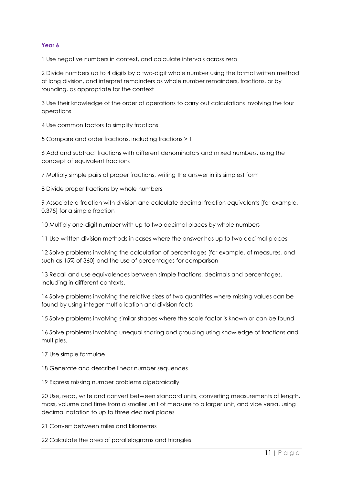1 Use negative numbers in context, and calculate intervals across zero

2 Divide numbers up to 4 digits by a two-digit whole number using the formal written method of long division, and interpret remainders as whole number remainders, fractions, or by rounding, as appropriate for the context

3 Use their knowledge of the order of operations to carry out calculations involving the four operations

4 Use common factors to simplify fractions

5 Compare and order fractions, including fractions > 1

6 Add and subtract fractions with different denominators and mixed numbers, using the concept of equivalent fractions

7 Multiply simple pairs of proper fractions, writing the answer in its simplest form

8 Divide proper fractions by whole numbers

9 Associate a fraction with division and calculate decimal fraction equivalents [for example, 0.375] for a simple fraction

10 Multiply one-digit number with up to two decimal places by whole numbers

11 Use written division methods in cases where the answer has up to two decimal places

12 Solve problems involving the calculation of percentages [for example, of measures, and such as 15% of 360] and the use of percentages for comparison

13 Recall and use equivalences between simple fractions, decimals and percentages, including in different contexts.

14 Solve problems involving the relative sizes of two quantities where missing values can be found by using integer multiplication and division facts

15 Solve problems involving similar shapes where the scale factor is known or can be found

16 Solve problems involving unequal sharing and grouping using knowledge of fractions and multiples.

17 Use simple formulae

18 Generate and describe linear number sequences

19 Express missing number problems algebraically

20 Use, read, write and convert between standard units, converting measurements of length, mass, volume and time from a smaller unit of measure to a larger unit, and vice versa, using decimal notation to up to three decimal places

21 Convert between miles and kilometres

22 Calculate the area of parallelograms and triangles